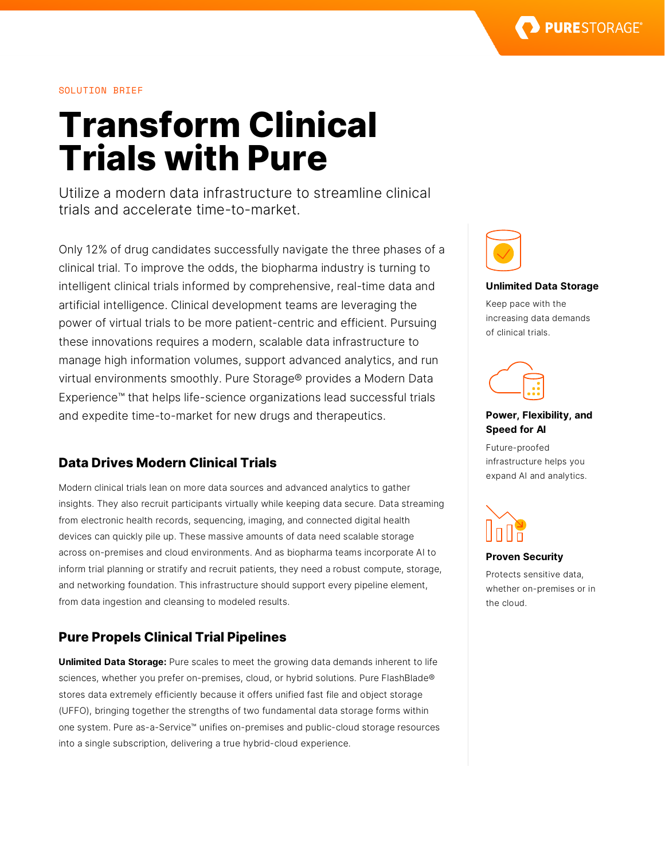## SOLUTION BRIEF

# **Transform Clinical Trials with Pure**

Utilize a modern data infrastructure to streamline clinical trials and accelerate time-to-market.

Only 12% of drug candidates successfully navigate the three phases of a clinical trial. To improve the odds, the biopharma industry is turning to intelligent clinical trials informed by comprehensive, real-time data and artificial intelligence. Clinical development teams are leveraging the power of virtual trials to be more patient-centric and efficient. Pursuing these innovations requires a modern, scalable data infrastructure to manage high information volumes, support advanced analytics, and run virtual environments smoothly. Pure Storage® provides a Modern Data Experience™ that helps life-science organizations lead successful trials and expedite time-to-market for new drugs and therapeutics.

# **Data Drives Modern Clinical Trials**

Modern clinical trials lean on more data sources and advanced analytics to gather insights. They also recruit participants virtually while keeping data secure. Data streaming from electronic health records, sequencing, imaging, and connected digital health devices can quickly pile up. These massive amounts of data need scalable storage across on-premises and cloud environments. And as biopharma teams incorporate AI to inform trial planning or stratify and recruit patients, they need a robust compute, storage, and networking foundation. This infrastructure should support every pipeline element, from data ingestion and cleansing to modeled results.

## **Pure Propels Clinical Trial Pipelines**

**Unlimited Data Storage:** Pure scales to meet the growing data demands inherent to life sciences, whether you prefer on-premises, cloud, or hybrid solutions. Pure FlashBlade® stores data extremely efficiently because it offers unified fast file and object storage (UFFO), bringing together the strengths of two fundamental data storage forms within one system. Pure as-a-Service™ unifies on-premises and public-cloud storage resources into a single subscription, delivering a true hybrid-cloud experience.



#### **Unlimited Data Storage**

Keep pace with the increasing data demands of clinical trials.



## **Power, Flexibility, and Speed for AI**

Future-proofed infrastructure helps you expand AI and analytics.



#### **Proven Security**

Protects sensitive data, whether on-premises or in the cloud.